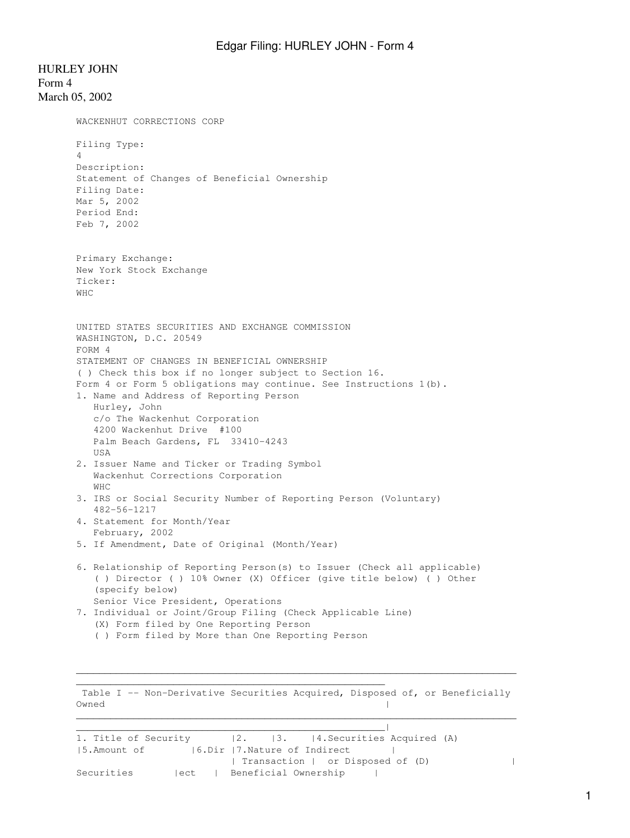HURLEY JOHN Form 4 March 05, 2002 WACKENHUT CORRECTIONS CORP Filing Type: 4 Description: Statement of Changes of Beneficial Ownership Filing Date: Mar 5, 2002 Period End: Feb 7, 2002 Primary Exchange: New York Stock Exchange Ticker: WHC UNITED STATES SECURITIES AND EXCHANGE COMMISSION WASHINGTON, D.C. 20549 FORM 4 STATEMENT OF CHANGES IN BENEFICIAL OWNERSHIP ( ) Check this box if no longer subject to Section 16. Form 4 or Form 5 obligations may continue. See Instructions 1(b). 1. Name and Address of Reporting Person Hurley, John c/o The Wackenhut Corporation 4200 Wackenhut Drive #100 Palm Beach Gardens, FL 33410-4243 USA 2. Issuer Name and Ticker or Trading Symbol Wackenhut Corrections Corporation WHC 3. IRS or Social Security Number of Reporting Person (Voluntary) 482-56-1217 4. Statement for Month/Year February, 2002 5. If Amendment, Date of Original (Month/Year) 6. Relationship of Reporting Person(s) to Issuer (Check all applicable) ( ) Director ( ) 10% Owner (X) Officer (give title below) ( ) Other (specify below) Senior Vice President, Operations 7. Individual or Joint/Group Filing (Check Applicable Line) (X) Form filed by One Reporting Person ( ) Form filed by More than One Reporting Person

 Table I -- Non-Derivative Securities Acquired, Disposed of, or Beneficially Owned and the contract of the contract of the contract of the contract of the contract of the contract of the contract of the contract of the contract of the contract of the contract of the contract of the contract of the  $\mathcal{L}_\text{max} = \frac{1}{2} \sum_{i=1}^n \mathcal{L}_\text{max} = \frac{1}{2} \sum_{i=1}^n \mathcal{L}_\text{max} = \frac{1}{2} \sum_{i=1}^n \mathcal{L}_\text{max} = \frac{1}{2} \sum_{i=1}^n \mathcal{L}_\text{max} = \frac{1}{2} \sum_{i=1}^n \mathcal{L}_\text{max} = \frac{1}{2} \sum_{i=1}^n \mathcal{L}_\text{max} = \frac{1}{2} \sum_{i=1}^n \mathcal{L}_\text{max} = \frac{1}{2} \sum_{i=$ 

\_\_\_\_\_\_\_\_\_\_\_\_\_\_\_\_\_\_\_\_\_\_\_\_\_\_\_\_\_\_\_\_\_\_\_\_\_\_\_\_\_\_\_\_\_\_\_\_\_\_\_\_\_\_

 $\mathcal{L}_\text{max}$  , and the set of the set of the set of the set of the set of the set of the set of the set of the set of the set of the set of the set of the set of the set of the set of the set of the set of the set of the

| 1. Title of Security (2. 13. 14. Securities Acquired (A) |        |  |  |                                  |  |  |
|----------------------------------------------------------|--------|--|--|----------------------------------|--|--|
| 15.Amount of                                             |        |  |  | 16.Dir 17.Nature of Indirect     |  |  |
|                                                          |        |  |  | Transaction   or Disposed of (D) |  |  |
| Securities                                               | lect l |  |  | Beneficial Ownership             |  |  |